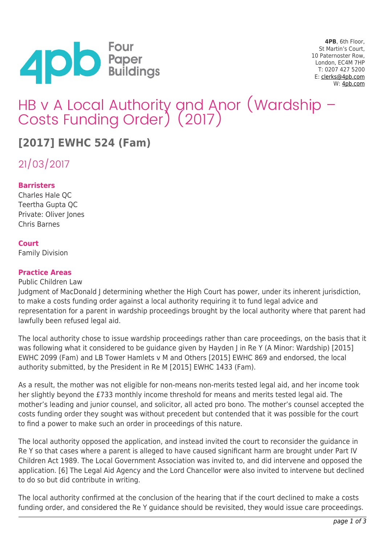

**4PB**, 6th Floor, St Martin's Court, 10 Paternoster Row, London, EC4M 7HP T: 0207 427 5200 E: [clerks@4pb.com](mailto:clerks@4pb.com) W: [4pb.com](http://4pb.com)

# HB v A Local Authority and Anor (Wardship – Costs Funding Order) (2017)

# **[2017] EWHC 524 (Fam)**

21/03/2017

### **Barristers**

Charles Hale QC Teertha Gupta QC Private: Oliver Jones Chris Barnes

#### **Court**

Family Division

#### **Practice Areas**

#### Public Children Law

Judgment of MacDonald J determining whether the High Court has power, under its inherent jurisdiction, to make a costs funding order against a local authority requiring it to fund legal advice and representation for a parent in wardship proceedings brought by the local authority where that parent had lawfully been refused legal aid.

The local authority chose to issue wardship proceedings rather than care proceedings, on the basis that it was following what it considered to be guidance given by Hayden J in Re Y (A Minor: Wardship) [2015] EWHC 2099 (Fam) and LB Tower Hamlets v M and Others [2015] EWHC 869 and endorsed, the local authority submitted, by the President in Re M [2015] EWHC 1433 (Fam).

As a result, the mother was not eligible for non-means non-merits tested legal aid, and her income took her slightly beyond the £733 monthly income threshold for means and merits tested legal aid. The mother's leading and junior counsel, and solicitor, all acted pro bono. The mother's counsel accepted the costs funding order they sought was without precedent but contended that it was possible for the court to find a power to make such an order in proceedings of this nature.

The local authority opposed the application, and instead invited the court to reconsider the guidance in Re Y so that cases where a parent is alleged to have caused significant harm are brought under Part IV Children Act 1989. The Local Government Association was invited to, and did intervene and opposed the application. [6] The Legal Aid Agency and the Lord Chancellor were also invited to intervene but declined to do so but did contribute in writing.

The local authority confirmed at the conclusion of the hearing that if the court declined to make a costs funding order, and considered the Re Y guidance should be revisited, they would issue care proceedings.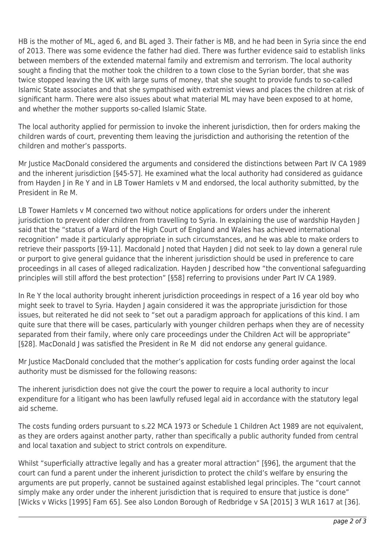HB is the mother of ML, aged 6, and BL aged 3. Their father is MB, and he had been in Syria since the end of 2013. There was some evidence the father had died. There was further evidence said to establish links between members of the extended maternal family and extremism and terrorism. The local authority sought a finding that the mother took the children to a town close to the Syrian border, that she was twice stopped leaving the UK with large sums of money, that she sought to provide funds to so-called Islamic State associates and that she sympathised with extremist views and places the children at risk of significant harm. There were also issues about what material ML may have been exposed to at home, and whether the mother supports so-called Islamic State.

The local authority applied for permission to invoke the inherent jurisdiction, then for orders making the children wards of court, preventing them leaving the jurisdiction and authorising the retention of the children and mother's passports.

Mr Justice MacDonald considered the arguments and considered the distinctions between Part IV CA 1989 and the inherent jurisdiction [§45-57]. He examined what the local authority had considered as guidance from Hayden J in Re Y and in LB Tower Hamlets v M and endorsed, the local authority submitted, by the President in Re M.

LB Tower Hamlets v M concerned two without notice applications for orders under the inherent jurisdiction to prevent older children from travelling to Syria. In explaining the use of wardship Hayden J said that the "status of a Ward of the High Court of England and Wales has achieved international recognition" made it particularly appropriate in such circumstances, and he was able to make orders to retrieve their passports [§9-11]. Macdonald J noted that Hayden J did not seek to lay down a general rule or purport to give general guidance that the inherent jurisdiction should be used in preference to care proceedings in all cases of alleged radicalization. Hayden J described how "the conventional safeguarding principles will still afford the best protection" [§58] referring to provisions under Part IV CA 1989.

In Re Y the local authority brought inherent jurisdiction proceedings in respect of a 16 year old boy who might seek to travel to Syria. Hayden J again considered it was the appropriate jurisdiction for those issues, but reiterated he did not seek to "set out a paradigm approach for applications of this kind. I am quite sure that there will be cases, particularly with younger children perhaps when they are of necessity separated from their family, where only care proceedings under the Children Act will be appropriate" [§28]. MacDonald J was satisfied the President in Re M did not endorse any general guidance.

Mr Justice MacDonald concluded that the mother's application for costs funding order against the local authority must be dismissed for the following reasons:

The inherent jurisdiction does not give the court the power to require a local authority to incur expenditure for a litigant who has been lawfully refused legal aid in accordance with the statutory legal aid scheme.

The costs funding orders pursuant to s.22 MCA 1973 or Schedule 1 Children Act 1989 are not equivalent, as they are orders against another party, rather than specifically a public authority funded from central and local taxation and subject to strict controls on expenditure.

Whilst "superficially attractive legally and has a greater moral attraction" [§96], the argument that the court can fund a parent under the inherent jurisdiction to protect the child's welfare by ensuring the arguments are put properly, cannot be sustained against established legal principles. The "court cannot simply make any order under the inherent jurisdiction that is required to ensure that justice is done" [Wicks v Wicks [1995] Fam 65]. See also London Borough of Redbridge v SA [2015] 3 WLR 1617 at [36].